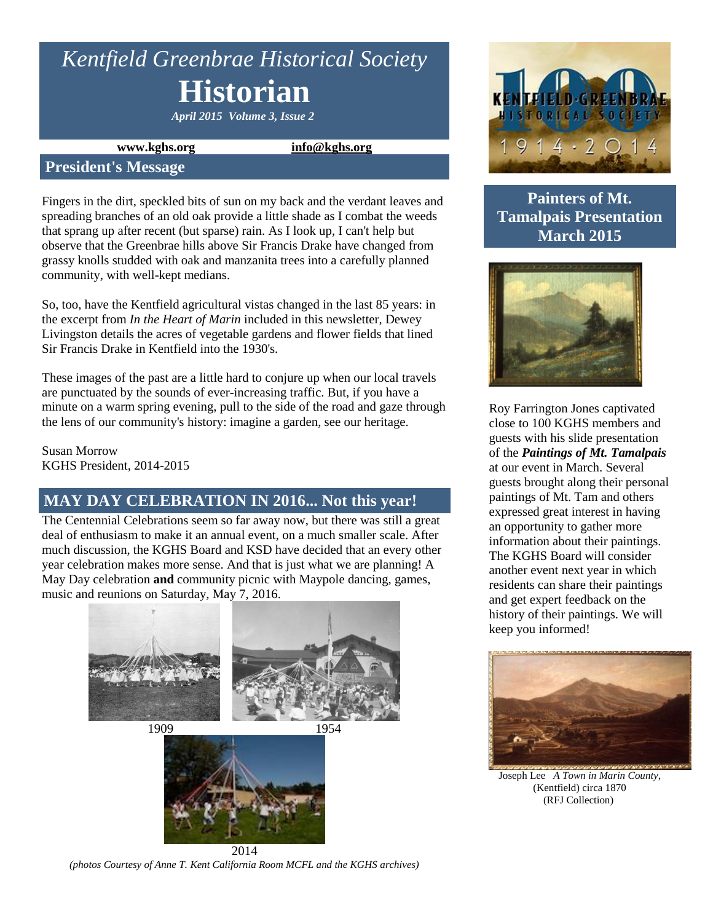# *Kentfield Greenbrae Historical Society* **Historian**

*April 2015 Volume 3, Issue 2*

**www.kghs.org [info@kghs.org](mailto:info@kghs.org)**

#### **President's Message**

Fingers in the dirt, speckled bits of sun on my back and the verdant leaves and spreading branches of an old oak provide a little shade as I combat the weeds that sprang up after recent (but sparse) rain. As I look up, I can't help but observe that the Greenbrae hills above Sir Francis Drake have changed from grassy knolls studded with oak and manzanita trees into a carefully planned community, with well-kept medians.

So, too, have the Kentfield agricultural vistas changed in the last 85 years: in the excerpt from *In the Heart of Marin* included in this newsletter, Dewey Livingston details the acres of vegetable gardens and flower fields that lined Sir Francis Drake in Kentfield into the 1930's.

These images of the past are a little hard to conjure up when our local travels are punctuated by the sounds of ever-increasing traffic. But, if you have a minute on a warm spring evening, pull to the side of the road and gaze through the lens of our community's history: imagine a garden, see our heritage.

Susan Morrow KGHS President, 2014-2015

# **MAY DAY CELEBRATION IN 2016... Not this year!**

The Centennial Celebrations seem so far away now, but there was still a great deal of enthusiasm to make it an annual event, on a much smaller scale. After much discussion, the KGHS Board and KSD have decided that an every other year celebration makes more sense. And that is just what we are planning! A May Day celebration **and** community picnic with Maypole dancing, games, music and reunions on Saturday, May 7, 2016.



**ISTORICALLSOCIETY**  $4 \cdot 2$  O

# **Painters of Mt. Tamalpais Presentation March 2015**



Roy Farrington Jones captivated close to 100 KGHS members and guests with his slide presentation of the *Paintings of Mt. Tamalpais* at our event in March. Several guests brought along their personal paintings of Mt. Tam and others expressed great interest in having an opportunity to gather more information about their paintings. The KGHS Board will consider another event next year in which residents can share their paintings and get expert feedback on the history of their paintings. We will keep you informed!



Joseph Lee *A Town in Marin County*, (Kentfield) circa 1870 (RFJ Collection)

2014 *(photos Courtesy of Anne T. Kent California Room MCFL and the KGHS archives)*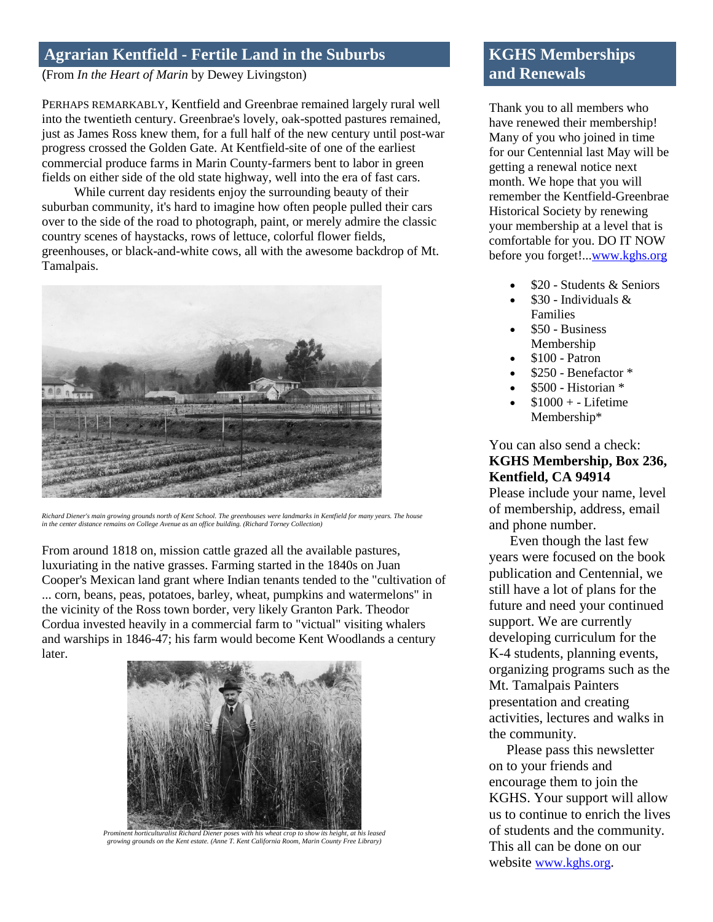## **Agrarian Kentfield - Fertile Land in the Suburbs**

(From *In the Heart of Marin* by Dewey Livingston)

PERHAPS REMARKABLY, Kentfield and Greenbrae remained largely rural well into the twentieth century. Greenbrae's lovely, oak-spotted pastures remained, just as James Ross knew them, for a full half of the new century until post-war progress crossed the Golden Gate. At Kentfield-site of one of the earliest commercial produce farms in Marin County-farmers bent to labor in green fields on either side of the old state highway, well into the era of fast cars.

 While current day residents enjoy the surrounding beauty of their suburban community, it's hard to imagine how often people pulled their cars over to the side of the road to photograph, paint, or merely admire the classic country scenes of haystacks, rows of lettuce, colorful flower fields, greenhouses, or black-and-white cows, all with the awesome backdrop of Mt. Tamalpais.



*Richard Diener's main growing grounds north of Kent School. The greenhouses were landmarks in Kentfield for many years. The house in the center distance remains on College Avenue as an office building. (Richard Torney Collection)*

From around 1818 on, mission cattle grazed all the available pastures, luxuriating in the native grasses. Farming started in the 1840s on Juan Cooper's Mexican land grant where Indian tenants tended to the "cultivation of ... corn, beans, peas, potatoes, barley, wheat, pumpkins and watermelons" in the vicinity of the Ross town border, very likely Granton Park. Theodor Cordua invested heavily in a commercial farm to "victual" visiting whalers and warships in 1846-47; his farm would become Kent Woodlands a century later.



*Prominent horticulturalist Richard Diener poses with his wheat crop to show its height, at his leased growing grounds on the Kent estate. (Anne T. Kent California Room, Marin County Free Library)*

# **KGHS Memberships and Renewals**

Thank you to all members who have renewed their membership! Many of you who joined in time for our Centennial last May will be getting a renewal notice next month. We hope that you will remember the Kentfield-Greenbrae Historical Society by renewing your membership at a level that is comfortable for you. DO IT NOW before you forget!..[.www.kghs.org](http://www.kghs.org/)

- \$20 Students & Seniors
- \$30 Individuals & Families
- \$50 Business Membership
- \$100 Patron
- \$250 Benefactor \*
- \$500 Historian \*
- $$1000 + Lifetime$ Membership\*

You can also send a check: **KGHS Membership, Box 236, Kentfield, CA 94914**

Please include your name, level of membership, address, email and phone number.

 Even though the last few years were focused on the book publication and Centennial, we still have a lot of plans for the future and need your continued support. We are currently developing curriculum for the K-4 students, planning events, organizing programs such as the Mt. Tamalpais Painters presentation and creating activities, lectures and walks in the community.

 Please pass this newsletter on to your friends and encourage them to join the KGHS. Your support will allow us to continue to enrich the lives of students and the community. This all can be done on our website [www.kghs.org](http://www.kghs.org/).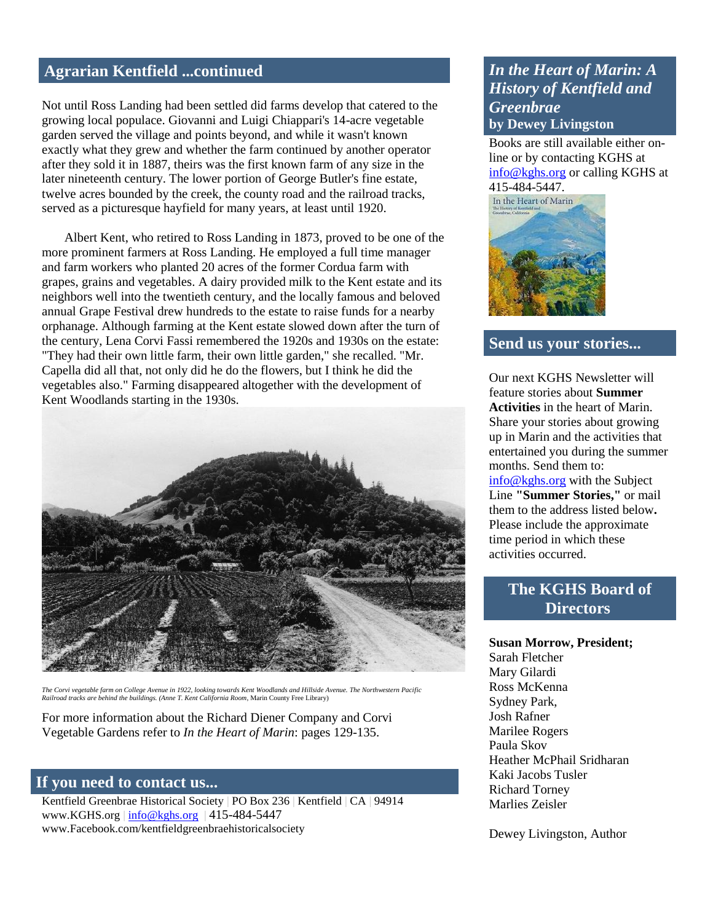### **Agrarian Kentfield ...continued**

Not until Ross Landing had been settled did farms develop that catered to the growing local populace. Giovanni and Luigi Chiappari's 14-acre vegetable garden served the village and points beyond, and while it wasn't known exactly what they grew and whether the farm continued by another operator after they sold it in 1887, theirs was the first known farm of any size in the later nineteenth century. The lower portion of George Butler's fine estate, twelve acres bounded by the creek, the county road and the railroad tracks, served as a picturesque hayfield for many years, at least until 1920.

 Albert Kent, who retired to Ross Landing in 1873, proved to be one of the more prominent farmers at Ross Landing. He employed a full time manager and farm workers who planted 20 acres of the former Cordua farm with grapes, grains and vegetables. A dairy provided milk to the Kent estate and its neighbors well into the twentieth century, and the locally famous and beloved annual Grape Festival drew hundreds to the estate to raise funds for a nearby orphanage. Although farming at the Kent estate slowed down after the turn of the century, Lena Corvi Fassi remembered the 1920s and 1930s on the estate: "They had their own little farm, their own little garden," she recalled. "Mr. Capella did all that, not only did he do the flowers, but I think he did the vegetables also." Farming disappeared altogether with the development of Kent Woodlands starting in the 1930s.



The Corvi vegetable farm on College Avenue in 1922, looking towards Kent Woodlands and Hillside Avenue. The Northwestern Pacific<br>Railroad tracks are behind the buildings. (Anne T. Kent California Room, Marin County Free Li

For more information about the Richard Diener Company and Corvi Vegetable Gardens refer to *In the Heart of Marin*: pages 129-135.

#### **If you need to contact us...**

Kentfield Greenbrae Historical Society | PO Box 236 | Kentfield | CA | 94914 www.KGHS.org | [info@kghs.org](mailto:info@kghs.org) | 415-484-5447 www.Facebook.com/kentfieldgreenbraehistoricalsociety

## *In the Heart of Marin: A History of Kentfield and Greenbrae*  **by Dewey Livingston**

Books are still available either online or by contacting KGHS at [info@kghs.org](mailto:info@kghs.org) or calling KGHS at 415-484-5447.

In the Heart of Marin



#### **Send us your stories...**

Our next KGHS Newsletter will feature stories about **Summer Activities** in the heart of Marin. Share your stories about growing up in Marin and the activities that entertained you during the summer months. Send them to: [info@kghs.org](mailto:info@kghs.org) with the Subject Line **"Summer Stories,"** or mail them to the address listed below**.** Please include the approximate time period in which these activities occurred.

## **The KGHS Board of Directors**

**Susan Morrow, President;** Sarah Fletcher Mary Gilardi Ross McKenna Sydney Park, Josh Rafner Marilee Rogers Paula Skov Heather McPhail Sridharan Kaki Jacobs Tusler Richard Torney Marlies Zeisler

Dewey Livingston, Author